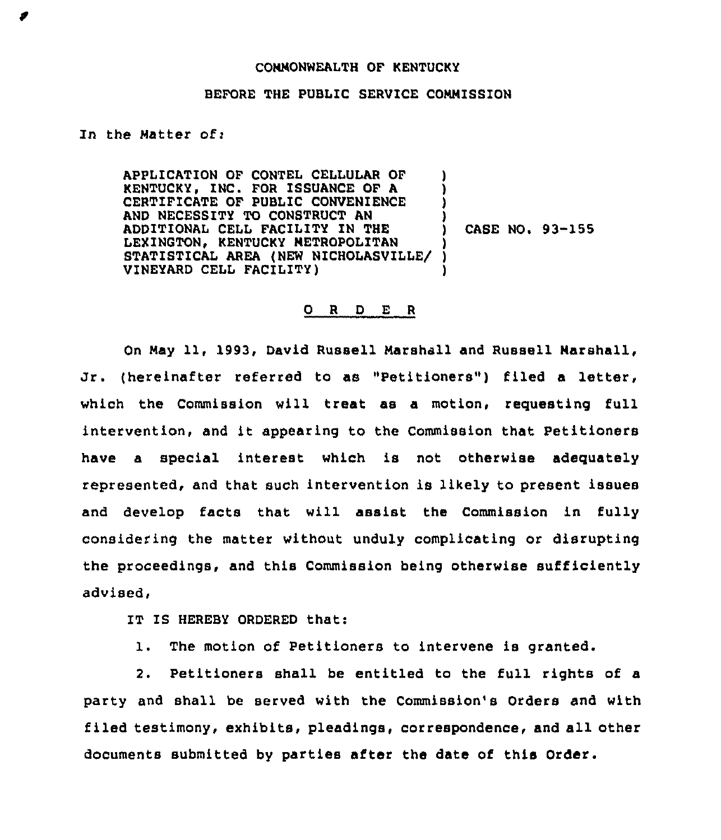## COMMONWEALTH OF KENTUCKY

## BEFORE THE PUBLIC SERVICE COMMISSION

## In the Matter of:

APPLICATION OF CONTEL CELLULAR OF KENTUCKY, INC. FOR ISSUANCE OF A CERTIFICATE OF PUBLIC CONVENIENCE AND NECESSITY TO CONSTRUCT AN ADDITIONAL CELL FACILITY IN THE LEXINGTON, KENTUCKY METROPOLITAN STATISTICAL AREA (NEW NICHOLASVILLE/ VINEYARD CELL FACILITY) ) ) ) ) ) CASE NO. 93-155 ) ) )

## 0 <sup>R</sup> <sup>D</sup> E <sup>R</sup>

On May 11, 1993, David Russell Marshall and Russell Marshall, Jr. (hereinafter referred to as "Petitioners") filed a letter, which the Commission will treat as a motion, requesting full intervention, and it appearing to the Commission that Petitioners have a special interest which is not otherwise adequately represented, and that such intervention is likely to present issues and develop facts that will assist the Commission in fully considering the matter without unduly complicating or disrupting the proceedings, and this Commission being otherwise sufficiently advised,

IT IS HEREBY ORDERED that:

1. The motion of Petitioners to intervene is granted.

2. Petitioners shall be entitled to the full rights of a party and shall be served with the Commission's Orders and with filed testimony, exhibits, pleadings, correspondence, and all other documents submitted by parties after the date of this Order.